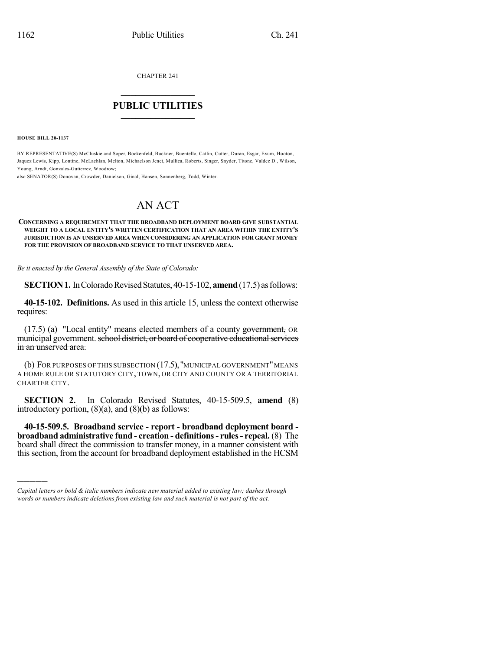CHAPTER 241

## $\mathcal{L}_\text{max}$  . The set of the set of the set of the set of the set of the set of the set of the set of the set of the set of the set of the set of the set of the set of the set of the set of the set of the set of the set **PUBLIC UTILITIES** \_\_\_\_\_\_\_\_\_\_\_\_\_\_\_

**HOUSE BILL 20-1137**

)))))

BY REPRESENTATIVE(S) McCluskie and Soper, Bockenfeld, Buckner, Buentello, Catlin, Cutter, Duran, Esgar, Exum, Hooton, Jaquez Lewis, Kipp, Lontine, McLachlan, Melton, Michaelson Jenet, Mullica, Roberts, Singer, Snyder, Titone, Valdez D., Wilson, Young, Arndt, Gonzales-Gutierrez, Woodrow;

also SENATOR(S) Donovan, Crowder, Danielson, Ginal, Hansen, Sonnenberg, Todd, Winter.

## AN ACT

## **CONCERNING A REQUIREMENT THAT THE BROADBAND DEPLOYMENT BOARD GIVE SUBSTANTIAL WEIGHT TO A LOCAL ENTITY'S WRITTEN CERTIFICATION THAT AN AREA WITHIN THE ENTITY'S JURISDICTION IS AN UNSERVED AREA WHEN CONSIDERING AN APPLICATION FOR GRANT MONEY FOR THE PROVISION OF BROADBAND SERVICE TO THAT UNSERVED AREA.**

*Be it enacted by the General Assembly of the State of Colorado:*

**SECTION 1.** In Colorado Revised Statutes, 40-15-102, **amend** (17.5) as follows:

**40-15-102. Definitions.** As used in this article 15, unless the context otherwise requires:

(17.5) (a) "Local entity" means elected members of a county government, OR municipal government. school district, or board of cooperative educational services in an unserved area.

(b) FOR PURPOSES OF THIS SUBSECTION (17.5),"MUNICIPAL GOVERNMENT"MEANS A HOME RULE OR STATUTORY CITY, TOWN, OR CITY AND COUNTY OR A TERRITORIAL CHARTER CITY.

**SECTION 2.** In Colorado Revised Statutes, 40-15-509.5, **amend** (8) introductory portion,  $(8)(a)$ , and  $(8)(b)$  as follows:

**40-15-509.5. Broadband service - report - broadband deployment board broadband administrative fund - creation - definitions- rules- repeal.** (8) The board shall direct the commission to transfer money, in a manner consistent with thissection, from the account for broadband deployment established in the HCSM

*Capital letters or bold & italic numbers indicate new material added to existing law; dashes through words or numbers indicate deletions from existing law and such material is not part of the act.*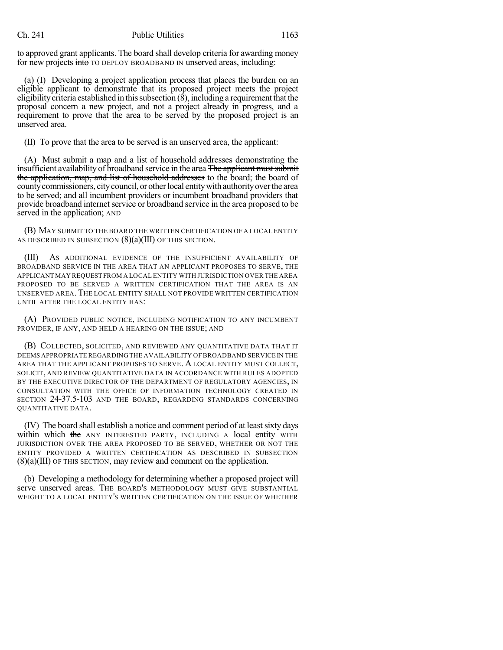to approved grant applicants. The board shall develop criteria for awarding money for new projects into TO DEPLOY BROADBAND IN unserved areas, including:

(a) (I) Developing a project application process that places the burden on an eligible applicant to demonstrate that its proposed project meets the project eligibility criteria established in this subsection  $(8)$ , including a requirement that the proposal concern a new project, and not a project already in progress, and a requirement to prove that the area to be served by the proposed project is an unserved area.

(II) To prove that the area to be served is an unserved area, the applicant:

(A) Must submit a map and a list of household addresses demonstrating the insufficient availability of broadband service in the area The applicant must submit the application, map, and list of household addresses to the board; the board of county commissioners, city council, or other local entity with authority over the area to be served; and all incumbent providers or incumbent broadband providers that provide broadband internet service or broadband service in the area proposed to be served in the application; AND

(B) MAY SUBMIT TO THE BOARD THE WRITTEN CERTIFICATION OF A LOCAL ENTITY AS DESCRIBED IN SUBSECTION  $(8)(a)(III)$  OF THIS SECTION.

(III) AS ADDITIONAL EVIDENCE OF THE INSUFFICIENT AVAILABILITY OF BROADBAND SERVICE IN THE AREA THAT AN APPLICANT PROPOSES TO SERVE, THE APPLICANT MAY REQUEST FROM A LOCAL ENTITY WITH JURISDICTION OVER THE AREA PROPOSED TO BE SERVED A WRITTEN CERTIFICATION THAT THE AREA IS AN UNSERVED AREA.THE LOCAL ENTITY SHALL NOT PROVIDE WRITTEN CERTIFICATION UNTIL AFTER THE LOCAL ENTITY HAS:

(A) PROVIDED PUBLIC NOTICE, INCLUDING NOTIFICATION TO ANY INCUMBENT PROVIDER, IF ANY, AND HELD A HEARING ON THE ISSUE; AND

(B) COLLECTED, SOLICITED, AND REVIEWED ANY QUANTITATIVE DATA THAT IT DEEMS APPROPRIATE REGARDINGTHE AVAILABILITY OF BROADBAND SERVICE IN THE AREA THAT THE APPLICANT PROPOSES TO SERVE. A LOCAL ENTITY MUST COLLECT, SOLICIT, AND REVIEW QUANTITATIVE DATA IN ACCORDANCE WITH RULES ADOPTED BY THE EXECUTIVE DIRECTOR OF THE DEPARTMENT OF REGULATORY AGENCIES, IN CONSULTATION WITH THE OFFICE OF INFORMATION TECHNOLOGY CREATED IN SECTION 24-37.5-103 AND THE BOARD, REGARDING STANDARDS CONCERNING QUANTITATIVE DATA.

(IV) The board shall establish a notice and comment period of at leastsixty days within which the ANY INTERESTED PARTY, INCLUDING A local entity WITH JURISDICTION OVER THE AREA PROPOSED TO BE SERVED, WHETHER OR NOT THE ENTITY PROVIDED A WRITTEN CERTIFICATION AS DESCRIBED IN SUBSECTION (8)(a)(III) OF THIS SECTION, may review and comment on the application.

(b) Developing a methodology for determining whether a proposed project will serve unserved areas. THE BOARD'S METHODOLOGY MUST GIVE SUBSTANTIAL WEIGHT TO A LOCAL ENTITY'S WRITTEN CERTIFICATION ON THE ISSUE OF WHETHER